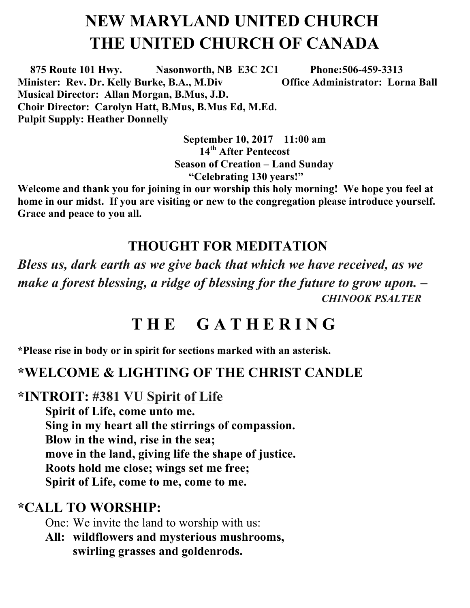# **NEW MARYLAND UNITED CHURCH THE UNITED CHURCH OF CANADA**

 **875 Route 101 Hwy. Nasonworth, NB E3C 2C1 Phone:506-459-3313 Minister: Rev. Dr. Kelly Burke, B.A., M.Div Office Administrator: Lorna Ball Musical Director: Allan Morgan, B.Mus, J.D. Choir Director: Carolyn Hatt, B.Mus, B.Mus Ed, M.Ed. Pulpit Supply: Heather Donnelly** 

> **September 10, 2017 11:00 am 14th After Pentecost Season of Creation – Land Sunday "Celebrating 130 years!"**

**Welcome and thank you for joining in our worship this holy morning! We hope you feel at home in our midst. If you are visiting or new to the congregation please introduce yourself. Grace and peace to you all.**

#### **THOUGHT FOR MEDITATION**

*Bless us, dark earth as we give back that which we have received, as we make a forest blessing, a ridge of blessing for the future to grow upon. – CHINOOK PSALTER*

# **T H E G A T H E R I N G**

**\*Please rise in body or in spirit for sections marked with an asterisk.**

#### **\*WELCOME & LIGHTING OF THE CHRIST CANDLE**

**\*INTROIT: #381 VU Spirit of Life** 

**Spirit of Life, come unto me. Sing in my heart all the stirrings of compassion. Blow in the wind, rise in the sea; move in the land, giving life the shape of justice. Roots hold me close; wings set me free; Spirit of Life, come to me, come to me.**

#### **\*CALL TO WORSHIP:**

One: We invite the land to worship with us:

**All: wildflowers and mysterious mushrooms, swirling grasses and goldenrods.**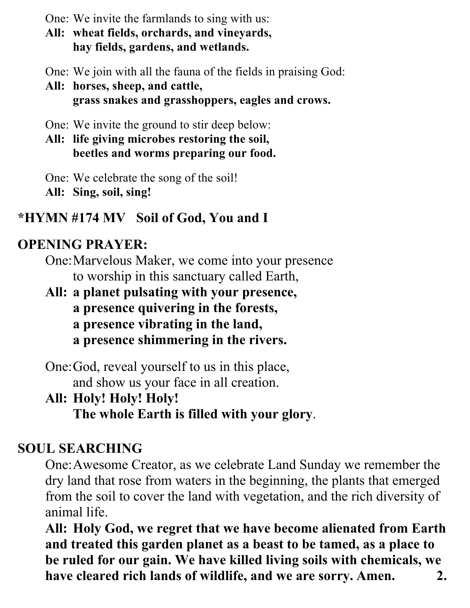One: We invite the farmlands to sing with us:

**All: wheat fields, orchards, and vineyards, hay fields, gardens, and wetlands.**

One: We join with all the fauna of the fields in praising God:

**All: horses, sheep, and cattle, grass snakes and grasshoppers, eagles and crows.**

One: We invite the ground to stir deep below:

**All: life giving microbes restoring the soil, beetles and worms preparing our food.**

One: We celebrate the song of the soil! **All: Sing, soil, sing!**

#### **\*HYMN #174 MV Soil of God, You and I**

#### **OPENING PRAYER:**

One:Marvelous Maker, we come into your presence to worship in this sanctuary called Earth,

**All: a planet pulsating with your presence, a presence quivering in the forests, a presence vibrating in the land, a presence shimmering in the rivers.**

One:God, reveal yourself to us in this place, and show us your face in all creation.

# **All: Holy! Holy! Holy!**

**The whole Earth is filled with your glory**.

## **SOUL SEARCHING**

One:Awesome Creator, as we celebrate Land Sunday we remember the dry land that rose from waters in the beginning, the plants that emerged from the soil to cover the land with vegetation, and the rich diversity of animal life.

**All: Holy God, we regret that we have become alienated from Earth and treated this garden planet as a beast to be tamed, as a place to be ruled for our gain. We have killed living soils with chemicals, we have cleared rich lands of wildlife, and we are sorry. Amen. 2.**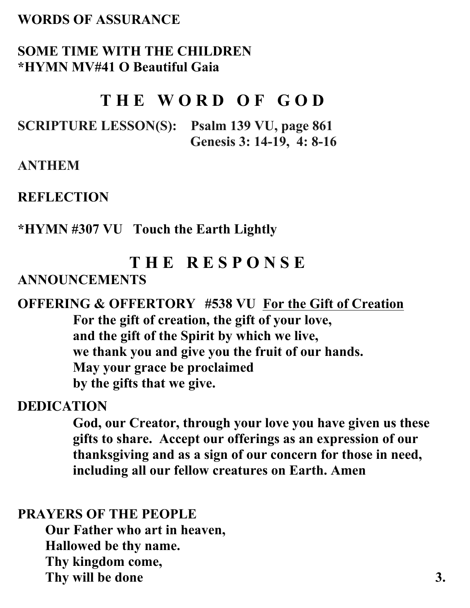#### **WORDS OF ASSURANCE**

#### **SOME TIME WITH THE CHILDREN \*HYMN MV#41 O Beautiful Gaia**

### **T H E W O R D O F G O D**

**SCRIPTURE LESSON(S): Psalm 139 VU, page 861 Genesis 3: 14-19, 4: 8-16**

**ANTHEM** 

**REFLECTION** 

**\*HYMN #307 VU Touch the Earth Lightly** 

# **T H E R E S P O N S E ANNOUNCEMENTS**

#### **OFFERING & OFFERTORY #538 VU For the Gift of Creation For the gift of creation, the gift of your love, and the gift of the Spirit by which we live, we thank you and give you the fruit of our hands. May your grace be proclaimed by the gifts that we give.**

#### **DEDICATION**

**God, our Creator, through your love you have given us these gifts to share. Accept our offerings as an expression of our thanksgiving and as a sign of our concern for those in need, including all our fellow creatures on Earth. Amen**

#### **PRAYERS OF THE PEOPLE**

**Our Father who art in heaven, Hallowed be thy name. Thy kingdom come,**  Thy will be done 3.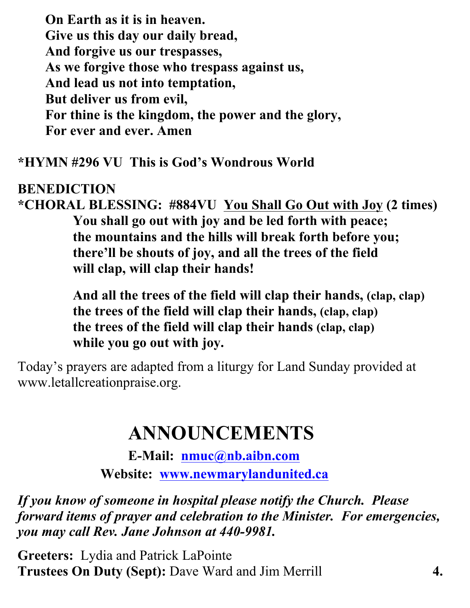**On Earth as it is in heaven. Give us this day our daily bread, And forgive us our trespasses, As we forgive those who trespass against us, And lead us not into temptation, But deliver us from evil, For thine is the kingdom, the power and the glory, For ever and ever. Amen** 

**\*HYMN #296 VU This is God's Wondrous World** 

#### **BENEDICTION**

**\*CHORAL BLESSING: #884VU You Shall Go Out with Joy (2 times) You shall go out with joy and be led forth with peace; the mountains and the hills will break forth before you; there'll be shouts of joy, and all the trees of the field will clap, will clap their hands!**

> **And all the trees of the field will clap their hands, (clap, clap) the trees of the field will clap their hands, (clap, clap) the trees of the field will clap their hands (clap, clap) while you go out with joy.**

Today's prayers are adapted from a liturgy for Land Sunday provided at www.letallcreationpraise.org.

# **ANNOUNCEMENTS**

**E-Mail: nmuc@nb.aibn.com Website: www.newmarylandunited.ca**

*If you know of someone in hospital please notify the Church. Please forward items of prayer and celebration to the Minister. For emergencies, you may call Rev. Jane Johnson at 440-9981.*

**Greeters:** Lydia and Patrick LaPointe **Trustees On Duty (Sept):** Dave Ward and Jim Merrill **4.**